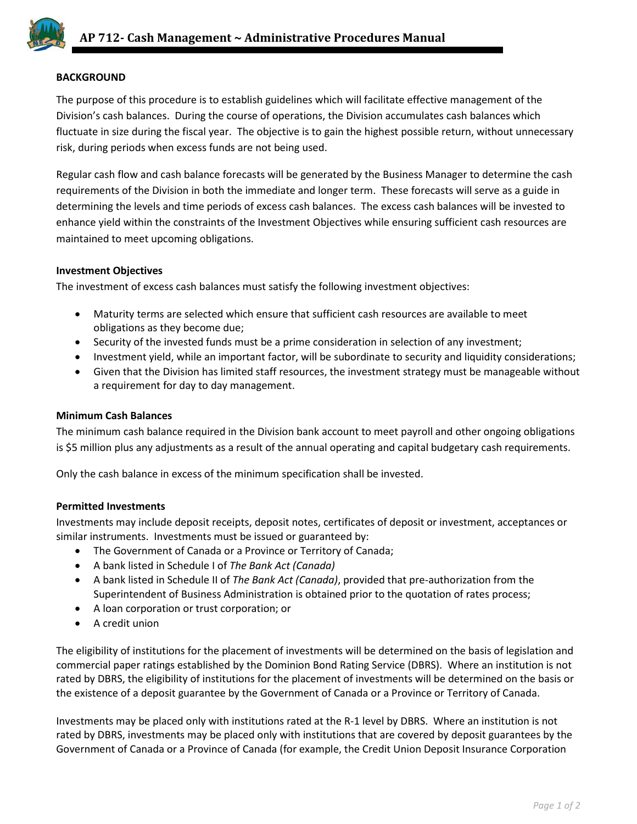

# **BACKGROUND**

The purpose of this procedure is to establish guidelines which will facilitate effective management of the Division's cash balances. During the course of operations, the Division accumulates cash balances which fluctuate in size during the fiscal year. The objective is to gain the highest possible return, without unnecessary risk, during periods when excess funds are not being used.

Regular cash flow and cash balance forecasts will be generated by the Business Manager to determine the cash requirements of the Division in both the immediate and longer term. These forecasts will serve as a guide in determining the levels and time periods of excess cash balances. The excess cash balances will be invested to enhance yield within the constraints of the Investment Objectives while ensuring sufficient cash resources are maintained to meet upcoming obligations.

## **Investment Objectives**

The investment of excess cash balances must satisfy the following investment objectives:

- Maturity terms are selected which ensure that sufficient cash resources are available to meet obligations as they become due;
- Security of the invested funds must be a prime consideration in selection of any investment;
- Investment yield, while an important factor, will be subordinate to security and liquidity considerations;
- Given that the Division has limited staff resources, the investment strategy must be manageable without a requirement for day to day management.

## **Minimum Cash Balances**

The minimum cash balance required in the Division bank account to meet payroll and other ongoing obligations is \$5 million plus any adjustments as a result of the annual operating and capital budgetary cash requirements.

Only the cash balance in excess of the minimum specification shall be invested.

## **Permitted Investments**

Investments may include deposit receipts, deposit notes, certificates of deposit or investment, acceptances or similar instruments. Investments must be issued or guaranteed by:

- The Government of Canada or a Province or Territory of Canada;
- A bank listed in Schedule I of *The Bank Act (Canada)*
- A bank listed in Schedule II of *The Bank Act (Canada)*, provided that pre-authorization from the Superintendent of Business Administration is obtained prior to the quotation of rates process;
- A loan corporation or trust corporation; or
- A credit union

The eligibility of institutions for the placement of investments will be determined on the basis of legislation and commercial paper ratings established by the Dominion Bond Rating Service (DBRS). Where an institution is not rated by DBRS, the eligibility of institutions for the placement of investments will be determined on the basis or the existence of a deposit guarantee by the Government of Canada or a Province or Territory of Canada.

Investments may be placed only with institutions rated at the R-1 level by DBRS. Where an institution is not rated by DBRS, investments may be placed only with institutions that are covered by deposit guarantees by the Government of Canada or a Province of Canada (for example, the Credit Union Deposit Insurance Corporation